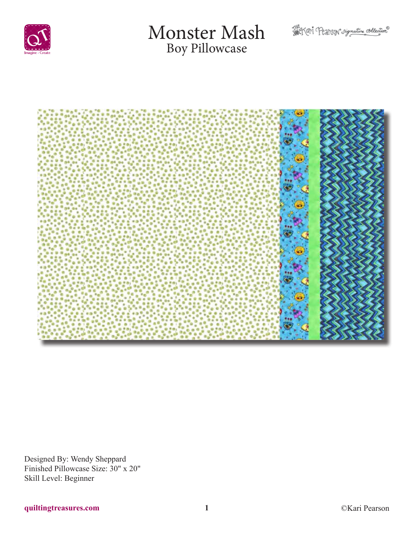

# Monster Mash Boy Pillowcase





Designed By: Wendy Sheppard Finished Pillowcase Size: 30" x 20" Skill Level: Beginner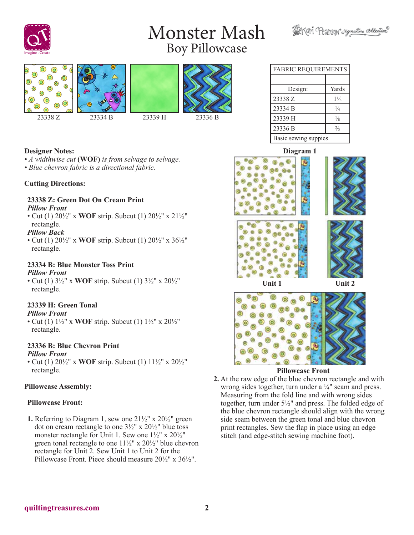# Monster Mash Boy Pillowcase





| <b>FABRIC REQUIREMENTS</b> |       |  |
|----------------------------|-------|--|
|                            |       |  |
| Design:                    | Yards |  |
| 23338.7                    |       |  |

Servari Pearson rignative collection

| 23338 Z              | $1\frac{1}{3}$ |  |
|----------------------|----------------|--|
| 23334 B              | ¼              |  |
| 23339 H              | $\frac{1}{8}$  |  |
| 23336 B              | $\frac{2}{3}$  |  |
| Basic sewing suppies |                |  |

### **Designer Notes:**

*• A widthwise cut* **(WOF)** *is from selvage to selvage. • Blue chevron fabric is a directional fabric.*

#### **Cutting Directions:**

#### **23338 Z: Green Dot On Cream Print** *Pillow Front*

• Cut (1) 20½" x **WOF** strip. Subcut (1) 20½" x 21½" rectangle.

#### *Pillow Back*

• Cut (1) 20½" x **WOF** strip. Subcut (1) 20½" x 36½" rectangle.

#### **23334 B: Blue Monster Toss Print** *Pillow Front*

• Cut (1) 3½" x **WOF** strip. Subcut (1) 3½" x 20½" rectangle.

## **23339 H: Green Tonal**

#### *Pillow Front*

• Cut (1) 1½" x **WOF** strip. Subcut (1) 1½" x 20½" rectangle.

# **23336 B: Blue Chevron Print**

#### *Pillow Front*

• Cut (1) 20½" x **WOF** strip. Subcut (1) 11½" x 20½" rectangle.

### **Pillowcase Assembly:**

### **Pillowcase Front:**

**1.** Referring to Diagram 1, sew one  $21\frac{1}{2}$ " x  $20\frac{1}{2}$ " green dot on cream rectangle to one  $3\frac{1}{2}$ " x  $20\frac{1}{2}$ " blue toss monster rectangle for Unit 1. Sew one 1½" x 20½" green tonal rectangle to one 11½" x 20½" blue chevron rectangle for Unit 2. Sew Unit 1 to Unit 2 for the Pillowcase Front. Piece should measure 20½" x 36½".

### **Diagram 1**





#### **Pillowcase Front**

**2.** At the raw edge of the blue chevron rectangle and with wrong sides together, turn under a ¼" seam and press. Measuring from the fold line and with wrong sides together, turn under 5½" and press. The folded edge of the blue chevron rectangle should align with the wrong side seam between the green tonal and blue chevron print rectangles. Sew the flap in place using an edge stitch (and edge-stitch sewing machine foot).